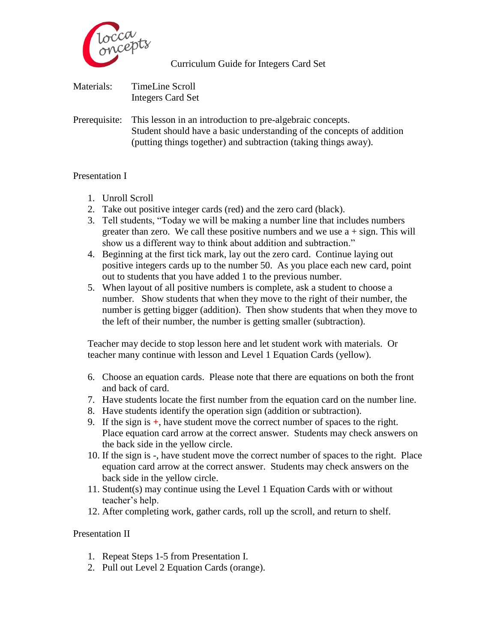

Curriculum Guide for Integers Card Set

| Materials: | <b>TimeLine Scroll</b>   |
|------------|--------------------------|
|            | <b>Integers Card Set</b> |

Prerequisite: This lesson in an introduction to pre-algebraic concepts. Student should have a basic understanding of the concepts of addition (putting things together) and subtraction (taking things away).

## Presentation I

- 1. Unroll Scroll
- 2. Take out positive integer cards (red) and the zero card (black).
- 3. Tell students, "Today we will be making a number line that includes numbers greater than zero. We call these positive numbers and we use  $a + sign$ . This will show us a different way to think about addition and subtraction."
- 4. Beginning at the first tick mark, lay out the zero card. Continue laying out positive integers cards up to the number 50. As you place each new card, point out to students that you have added 1 to the previous number.
- 5. When layout of all positive numbers is complete, ask a student to choose a number. Show students that when they move to the right of their number, the number is getting bigger (addition). Then show students that when they move to the left of their number, the number is getting smaller (subtraction).

Teacher may decide to stop lesson here and let student work with materials. Or teacher many continue with lesson and Level 1 Equation Cards (yellow).

- 6. Choose an equation cards. Please note that there are equations on both the front and back of card.
- 7. Have students locate the first number from the equation card on the number line.
- 8. Have students identify the operation sign (addition or subtraction).
- 9. If the sign is **+**, have student move the correct number of spaces to the right. Place equation card arrow at the correct answer. Students may check answers on the back side in the yellow circle.
- 10. If the sign is **-**, have student move the correct number of spaces to the right. Place equation card arrow at the correct answer. Students may check answers on the back side in the yellow circle.
- 11. Student(s) may continue using the Level 1 Equation Cards with or without teacher's help.
- 12. After completing work, gather cards, roll up the scroll, and return to shelf.

Presentation II

- 1. Repeat Steps 1-5 from Presentation I.
- 2. Pull out Level 2 Equation Cards (orange).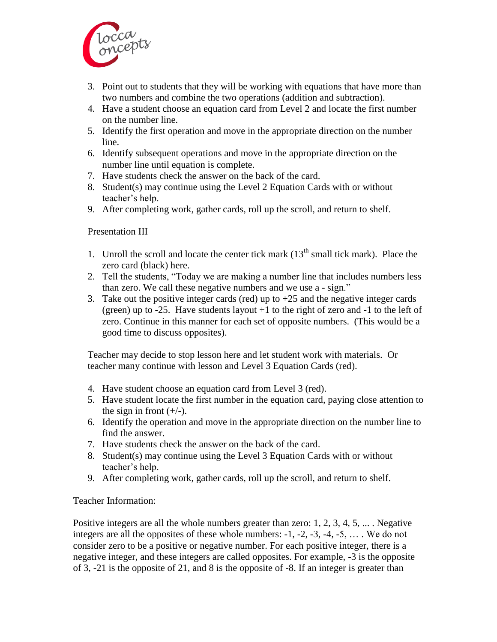

- 3. Point out to students that they will be working with equations that have more than two numbers and combine the two operations (addition and subtraction).
- 4. Have a student choose an equation card from Level 2 and locate the first number on the number line.
- 5. Identify the first operation and move in the appropriate direction on the number line.
- 6. Identify subsequent operations and move in the appropriate direction on the number line until equation is complete.
- 7. Have students check the answer on the back of the card.
- 8. Student(s) may continue using the Level 2 Equation Cards with or without teacher's help.
- 9. After completing work, gather cards, roll up the scroll, and return to shelf.

## Presentation III

- 1. Unroll the scroll and locate the center tick mark  $(13<sup>th</sup>$  small tick mark). Place the zero card (black) here.
- 2. Tell the students, "Today we are making a number line that includes numbers less than zero. We call these negative numbers and we use a - sign."
- 3. Take out the positive integer cards (red) up to  $+25$  and the negative integer cards (green) up to  $-25$ . Have students layout  $+1$  to the right of zero and  $-1$  to the left of zero. Continue in this manner for each set of opposite numbers. (This would be a good time to discuss opposites).

Teacher may decide to stop lesson here and let student work with materials. Or teacher many continue with lesson and Level 3 Equation Cards (red).

- 4. Have student choose an equation card from Level 3 (red).
- 5. Have student locate the first number in the equation card, paying close attention to the sign in front  $(+/-)$ .
- 6. Identify the operation and move in the appropriate direction on the number line to find the answer.
- 7. Have students check the answer on the back of the card.
- 8. Student(s) may continue using the Level 3 Equation Cards with or without teacher's help.
- 9. After completing work, gather cards, roll up the scroll, and return to shelf.

## Teacher Information:

Positive integers are all the whole numbers greater than zero: 1, 2, 3, 4, 5, ... . Negative integers are all the opposites of these whole numbers: -1, -2, -3, -4, -5, … . We do not consider zero to be a positive or negative number. For each positive integer, there is a negative integer, and these integers are called opposites. For example, -3 is the opposite of 3, -21 is the opposite of 21, and 8 is the opposite of -8. If an integer is greater than